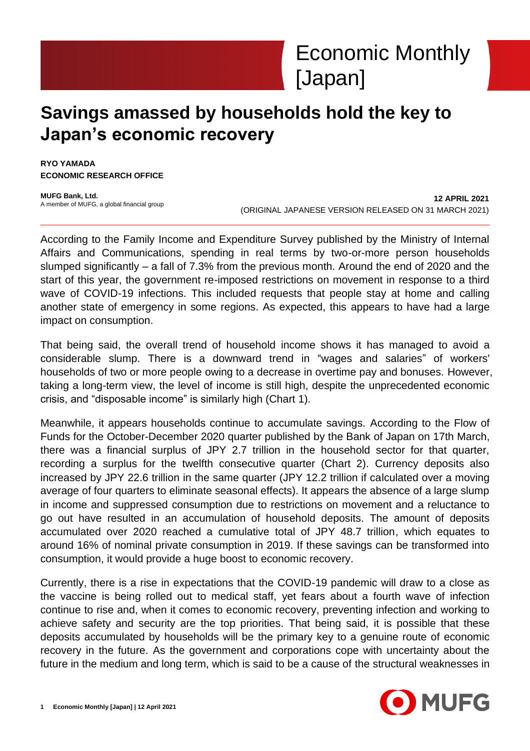# **Savings amassed by households hold the key to Japan's economic recovery**

**RYO YAMADA ECONOMIC RESEARCH OFFICE**

**MUFG Bank, Ltd.** A member of MUFG, a global financial group

**12 APRIL 2021** (ORIGINAL JAPANESE VERSION RELEASED ON 31 MARCH 2021)

According to the Family Income and Expenditure Survey published by the Ministry of Internal Affairs and Communications, spending in real terms by two-or-more person households slumped significantly – a fall of 7.3% from the previous month. Around the end of 2020 and the start of this year, the government re-imposed restrictions on movement in response to a third wave of COVID-19 infections. This included requests that people stay at home and calling another state of emergency in some regions. As expected, this appears to have had a large impact on consumption.

That being said, the overall trend of household income shows it has managed to avoid a considerable slump. There is a downward trend in "wages and salaries" of workers' households of two or more people owing to a decrease in overtime pay and bonuses. However, taking a long-term view, the level of income is still high, despite the unprecedented economic crisis, and "disposable income" is similarly high (Chart 1).

Meanwhile, it appears households continue to accumulate savings. According to the Flow of Funds for the October-December 2020 quarter published by the Bank of Japan on 17th March, there was a financial surplus of JPY 2.7 trillion in the household sector for that quarter, recording a surplus for the twelfth consecutive quarter (Chart 2). Currency deposits also increased by JPY 22.6 trillion in the same quarter (JPY 12.2 trillion if calculated over a moving average of four quarters to eliminate seasonal effects). It appears the absence of a large slump in income and suppressed consumption due to restrictions on movement and a reluctance to go out have resulted in an accumulation of household deposits. The amount of deposits accumulated over 2020 reached a cumulative total of JPY 48.7 trillion, which equates to around 16% of nominal private consumption in 2019. If these savings can be transformed into consumption, it would provide a huge boost to economic recovery.

Currently, there is a rise in expectations that the COVID-19 pandemic will draw to a close as the vaccine is being rolled out to medical staff, yet fears about a fourth wave of infection continue to rise and, when it comes to economic recovery, preventing infection and working to achieve safety and security are the top priorities. That being said, it is possible that these deposits accumulated by households will be the primary key to a genuine route of economic recovery in the future. As the government and corporations cope with uncertainty about the future in the medium and long term, which is said to be a cause of the structural weaknesses in

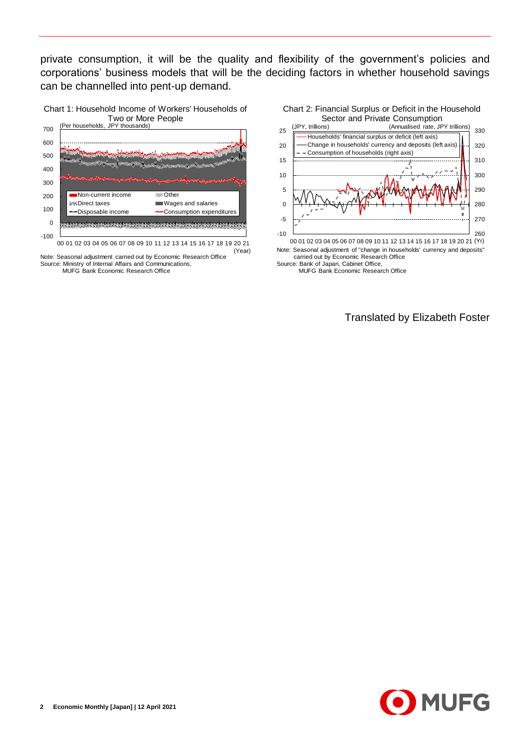private consumption, it will be the quality and flexibility of the government's policies and corporations' business models that will be the deciding factors in whether household savings can be channelled into pent-up demand.





(Year)

Note: Seasonal adjustment carried out by Economic Research Office Source: Ministry of Internal Affairs and Communications, MUFG Bank Economic Research Office



Note: Seasonal adjustment of "change in households' currency and deposits"

Source: Bank of Japan, Cabinet Office,<br>MUFG Bank Economic Research Office

Translated by Elizabeth Foster

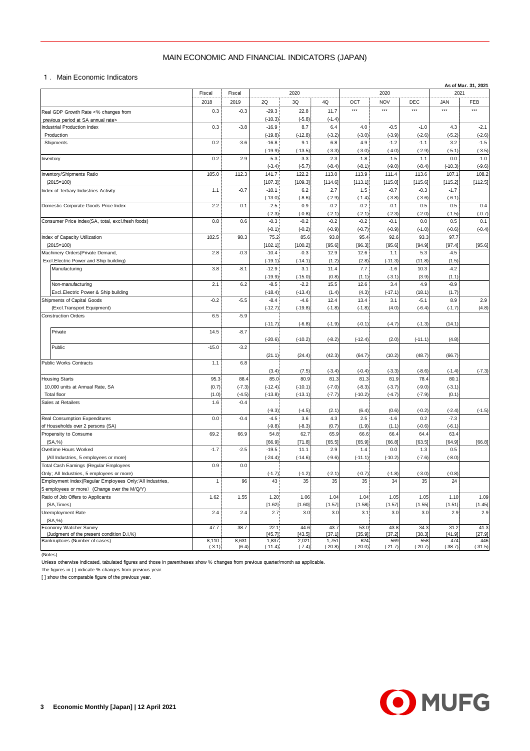## MAIN ECONOMIC AND FINANCIAL INDICATORS (JAPAN)

|                                                                                                          | MAIN ECONOMIC AND FINANCIAL INDICATORS (JAPAN) |                |                      |                     |                    |                    |                    |                  |                  |                             |  |  |
|----------------------------------------------------------------------------------------------------------|------------------------------------------------|----------------|----------------------|---------------------|--------------------|--------------------|--------------------|------------------|------------------|-----------------------------|--|--|
| 1. Main Economic Indicators                                                                              |                                                |                |                      |                     |                    |                    |                    |                  |                  |                             |  |  |
|                                                                                                          | Fiscal                                         | Fiscal         |                      | 2020<br>2020        |                    |                    |                    |                  |                  | As of Mar. 31, 2021<br>2021 |  |  |
|                                                                                                          | 2018                                           | 2019           | 2Q                   | 3Q                  | 4Q                 | OCT                | <b>NOV</b>         | DEC              | <b>JAN</b>       | FEB                         |  |  |
| Real GDP Growth Rate <% changes from                                                                     | 0.3                                            | $-0.3$         | $-29.3$              | 22.8                | 11.7               | $***$              | $***$              | $***$            | $***$            | $***$                       |  |  |
| previous period at SA annual rate><br><b>Industrial Production Index</b>                                 | 0.3                                            | $-3.8$         | $(-10.3)$<br>$-16.9$ | $(-5.8)$<br>8.7     | $(-1.4)$<br>6.4    | 4.0                | $-0.5$             | $-1.0$           | 4.3              |                             |  |  |
| Production                                                                                               |                                                |                | $(-19.8)$            | $(-12.8)$           | $(-3.2)$           | $(-3.0)$           | $(-3.9)$           | $(-2.6)$         | $(-5.2)$         | $-2.1$<br>$(-2.6)$          |  |  |
| Shipments                                                                                                | 0.2                                            | $-3.6$         | $-16.8$              | 9.1                 | 6.8                | 4.9                | $-1.2$             | $-1.1$           | 3.2              | $-1.5$                      |  |  |
|                                                                                                          |                                                |                | $(-19.9)$            | $(-13.5)$           | $(-3.3)$           | $(-3.0)$           | $(-4.0)$           | $(-2.9)$         | $(-5.1)$         | $(-3.5)$                    |  |  |
| Inventory                                                                                                | 0.2                                            | 2.9            | $-5.3$<br>$(-3.4)$   | $-3.3$<br>$(-5.7)$  | $-2.3$<br>$(-8.4)$ | $-1.8$<br>$(-8.1)$ | $-1.5$<br>$(-9.0)$ | 1.1<br>$(-8.4)$  | 0.0<br>$(-10.3)$ | $-1.0$<br>$(-9.6)$          |  |  |
| Inventory/Shipments Ratio                                                                                | 105.0                                          | 112.3          | 141.7                | 122.2               | 113.0              | 113.9              | 111.4              | 113.6            | 107.1            | 108.2                       |  |  |
| $(2015=100)$                                                                                             |                                                |                | [107.3]              | [109.3]             | [114.6]            | [113.1]            | [115.0]            | [115.6]          | [115.2]          | [112.5]                     |  |  |
| Index of Tertiary Industries Activity                                                                    | 1.1                                            | $-0.7$         | $-10.1$              | 6.2                 | 2.7                | 1.5                | $-0.7$             | $-0.3$           | $-1.7$           |                             |  |  |
| Domestic Corporate Goods Price Index                                                                     | 2.2                                            | 0.1            | $(-13.0)$<br>$-2.5$  | $(-8.6)$<br>0.9     | $(-2.9)$<br>$-0.2$ | $(-1.4)$<br>$-0.2$ | $(-3.8)$<br>$-0.1$ | $(-3.6)$<br>0.5  | $(-6.1)$<br>0.5  | 0.4                         |  |  |
|                                                                                                          |                                                |                | $(-2.3)$             | $(-0.8)$            | $(-2.1)$           | $(-2.1)$           | $(-2.3)$           | $(-2.0)$         | $(-1.5)$         | $(-0.7)$                    |  |  |
| Consumer Price Index(SA, total, excl.fresh foods)                                                        | 0.8                                            | 0.6            | $-0.3$               | $-0.2$              | $-0.2$             | $-0.2$             | $-0.1$             | 0.0              | 0.5              | 0.1                         |  |  |
|                                                                                                          |                                                |                | $(-0.1)$             | $(-0.2)$            | $(-0.9)$           | $(-0.7)$           | $(-0.9)$           | $(-1.0)$         | $(-0.6)$         | $(-0.4)$                    |  |  |
| Index of Capacity Utilization<br>$(2015=100)$                                                            | 102.5                                          | 98.3           | 75.2<br>[102.1]      | 85.6<br>[100.2]     | 93.8<br>[95.6]     | 95.4<br>[96.3]     | 92.6<br>[95.6]     | 93.3<br>[94.9]   | 97.7<br>[97.4]   | [95.6]                      |  |  |
| Machinery Orders (Private Demand,                                                                        | 2.8                                            | $-0.3$         | $-10.4$              | $-0.3$              | 12.9               | 12.6               | 1.1                | 5.3              | $-4.5$           |                             |  |  |
| Excl.Electric Power and Ship building)                                                                   |                                                |                | $(-19.1)$            | $(-14.1)$           | (1.2)              | (2.8)              | $(-11.3)$          | (11.8)           | (1.5)            |                             |  |  |
| Manufacturing                                                                                            | 3.8                                            | $-8.1$         | $-12.9$              | 3.1                 | 11.4               | 7.7                | $-1.6$             | 10.3             | $-4.2$           |                             |  |  |
|                                                                                                          | 2.1                                            | 6.2            | $(-19.9)$            | $(-15.0)$<br>$-2.2$ | (0.8)              | (1.1)<br>12.6      | $(-3.1)$           | (3.9)            | (1.1)            |                             |  |  |
| Non-manufacturing<br>Excl. Electric Power & Ship building                                                |                                                |                | $-8.5$<br>$(-18.4)$  | $(-13.4)$           | 15.5<br>(1.4)      | (4.3)              | 3.4<br>$(-17.1)$   | 4.9<br>(18.1)    | $-8.9$<br>(1.7)  |                             |  |  |
| Shipments of Capital Goods                                                                               | $-0.2$                                         | $-5.5$         | $-8.4$               | $-4.6$              | 12.4               | 13.4               | 3.1                | $-5.1$           | 8.9              | 2.9                         |  |  |
| (Excl.Transport Equipment)                                                                               |                                                |                | $(-12.7)$            | $(-19.8)$           | $(-1.8)$           | $(-1.8)$           | (4.0)              | $(-6.4)$         | $(-1.7)$         | (4.8)                       |  |  |
| <b>Construction Orders</b>                                                                               | 6.5                                            | $-5.9$         |                      |                     |                    |                    |                    |                  |                  |                             |  |  |
| Private                                                                                                  | 14.5                                           | $-8.7$         | $(-11.7)$            | $(-6.8)$            | $(-1.9)$           | $(-0.1)$           | $(-4.7)$           | $(-1.3)$         | (14.1)           |                             |  |  |
|                                                                                                          |                                                |                | $(-20.6)$            | $(-10.2)$           | $(-8.2)$           | $(-12.4)$          | (2.0)              | $(-11.1)$        | (4.8)            |                             |  |  |
| Public                                                                                                   | $-15.0$                                        | $-3.2$         |                      |                     |                    |                    |                    |                  |                  |                             |  |  |
|                                                                                                          |                                                |                | (21.1)               | (24.4)              | (42.3)             | (64.7)             | (10.2)             | (48.7)           | (66.7)           |                             |  |  |
| Public Works Contracts                                                                                   | 1.1                                            | 6.8            | (3.4)                | (7.5)               | $(-3.4)$           | $(-0.4)$           | $(-3.3)$           | $(-8.6)$         | $(-1.4)$         | $(-7.3)$                    |  |  |
| <b>Housing Starts</b>                                                                                    | 95.3                                           | 88.4           | 85.0                 | 80.9                | 81.3               | 81.3               | 81.9               | 78.4             | 80.1             |                             |  |  |
| 10,000 units at Annual Rate, SA                                                                          | (0.7)                                          | $(-7.3)$       | $(-12.4)$            | $(-10.1)$           | $(-7.0)$           | $(-8.3)$           | $(-3.7)$           | $(-9.0)$         | $(-3.1)$         |                             |  |  |
| Total floor                                                                                              | (1.0)                                          | $(-4.5)$       | $(-13.8)$            | $(-13.1)$           | $(-7.7)$           | $(-10.2)$          | $(-4.7)$           | $(-7.9)$         | (0.1)            |                             |  |  |
| Sales at Retailers                                                                                       | 1.6                                            | $-0.4$         | $(-9.3)$             | $(-4.5)$            | (2.1)              | (6.4)              | (0.6)              | $(-0.2)$         | $(-2.4)$         | $(-1.5)$                    |  |  |
| Real Consumption Expenditures                                                                            | 0.0                                            | $-0.4$         | $-4.5$               | 3.6                 | 4.3                | 2.5                | $-1.6$             | 0.2              | $-7.3$           |                             |  |  |
| of Households over 2 persons (SA)                                                                        |                                                |                | $(-9.8)$             | $(-8.3)$            | (0.7)              | (1.9)              | (1.1)              | $(-0.6)$         | $(-6.1)$         |                             |  |  |
| Propensity to Consume                                                                                    | 69.2                                           | 66.9           | 54.8                 | 62.7                | 65.9               | 66.6               | 66.4               | 64.4             | 63.4             |                             |  |  |
| (SA, %)<br>Overtime Hours Worked                                                                         | $-1.7$                                         | $-2.5$         | [66.9]<br>$-19.5$    | [71.8]<br>11.1      | [65.5]<br>2.9      | [65.9]<br>1.4      | [66.8]<br>0.0      | [63.5]<br>1.3    | [64.9]<br>0.5    | [66.8]                      |  |  |
| (All Industries, 5 employees or more)                                                                    |                                                |                | $(-24.4)$            | $(-14.6)$           | $(-9.6)$           | $(-11.1)$          | $(-10.2)$          | $(-7.6)$         | $(-8.0)$         |                             |  |  |
| Total Cash Eamings (Regular Employees                                                                    | 0.9                                            | 0.0            |                      |                     |                    |                    |                    |                  |                  |                             |  |  |
| Only; All Industries, 5 employees or more)                                                               |                                                |                | $(-1.7)$             | $(-1.2)$            | $(-2.1)$           | $(-0.7)$           | $(-1.8)$           | $(-3.0)$         | $(-0.8)$         |                             |  |  |
| Employment Index(Regular Employees Only;'All Industries,<br>5 employees or more) (Change over the M/Q/Y) | $\mathbf{1}$                                   | 96             | 43                   | 35                  | 35                 | 35                 | 34                 | 35               | 24               |                             |  |  |
| Ratio of Job Offers to Applicants                                                                        | 1.62                                           | 1.55           | 1.20                 | 1.06                | 1.04               | 1.04               | 1.05               | 1.05             | 1.10             | 1.09                        |  |  |
| (SA, Times)                                                                                              |                                                |                | [1.62]               | [1.60]              | [1.57]             | [1.58]             | [1.57]             | [1.55]           | [1.51]           | [1.45]                      |  |  |
| Unemployment Rate                                                                                        | 2.4                                            | 2.4            | 2.7                  | 3.0                 | 3.0                | 3.1                | 3.0                | 3.0              | 2.9              | 2.9                         |  |  |
| (SA, %)<br>Economy Watcher Survey                                                                        | 47.7                                           | 38.7           | 22.1                 | 44.6                | 43.7               | 53.0               | 43.8               | 34.3             | 31.2             |                             |  |  |
| (Judgment of the present condition D.I,%)                                                                |                                                |                | [45.7]               | [43.5]              | [37.1]             | [35.9]             | [37.2]             | [38.3]           | [41.9]           | 41.3<br>[27.9]              |  |  |
| Bankruptcies (Number of cases)                                                                           | 8,110<br>$(-3.1)$                              | 8,631<br>(6.4) | 1,837<br>$(-11.4)$   | 2,021<br>$(-7.4)$   | 1,751<br>$(-20.8)$ | 624<br>$(-20.0)$   | 569<br>$(-21.7)$   | 558<br>$(-20.7)$ | 474<br>$(-38.7)$ | 446<br>$(-31.5)$            |  |  |
|                                                                                                          |                                                |                |                      |                     |                    |                    |                    |                  |                  |                             |  |  |

(Notes)

Unless otherwise indicated, tabulated figures and those in parentheses show % changes from previous quarter/month as applicable.

The figures in ( ) indicate % changes from previous year.

[ ] show the comparable figure of the previous year.